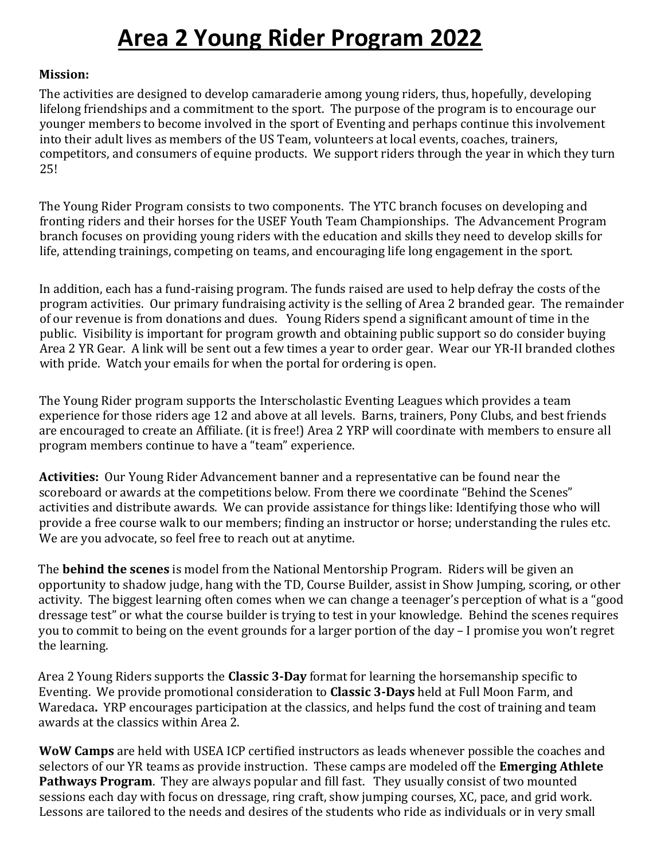## **Area 2 Young Rider Program 2022**

## **Mission:**

The activities are designed to develop camaraderie among young riders, thus, hopefully, developing lifelong friendships and a commitment to the sport. The purpose of the program is to encourage our younger members to become involved in the sport of Eventing and perhaps continue this involvement into their adult lives as members of the US Team, volunteers at local events, coaches, trainers, competitors, and consumers of equine products. We support riders through the year in which they turn 25!

The Young Rider Program consists to two components. The YTC branch focuses on developing and fronting riders and their horses for the USEF Youth Team Championships. The Advancement Program branch focuses on providing young riders with the education and skills they need to develop skills for life, attending trainings, competing on teams, and encouraging life long engagement in the sport.

In addition, each has a fund-raising program. The funds raised are used to help defray the costs of the program activities. Our primary fundraising activity is the selling of Area 2 branded gear. The remainder of our revenue is from donations and dues. Young Riders spend a significant amount of time in the public. Visibility is important for program growth and obtaining public support so do consider buying Area 2 YR Gear. A link will be sent out a few times a year to order gear. Wear our YR-II branded clothes with pride. Watch your emails for when the portal for ordering is open.

The Young Rider program supports the Interscholastic Eventing Leagues which provides a team experience for those riders age 12 and above at all levels. Barns, trainers, Pony Clubs, and best friends are encouraged to create an Affiliate. (it is free!) Area 2 YRP will coordinate with members to ensure all program members continue to have a "team" experience.

**Activities:** Our Young Rider Advancement banner and a representative can be found near the scoreboard or awards at the competitions below. From there we coordinate "Behind the Scenes" activities and distribute awards. We can provide assistance for things like: Identifying those who will provide a free course walk to our members; finding an instructor or horse; understanding the rules etc. We are you advocate, so feel free to reach out at anytime.

The **behind the scenes** is model from the National Mentorship Program. Riders will be given an opportunity to shadow judge, hang with the TD, Course Builder, assist in Show Jumping, scoring, or other activity. The biggest learning often comes when we can change a teenager's perception of what is a "good dressage test" or what the course builder is trying to test in your knowledge. Behind the scenes requires you to commit to being on the event grounds for a larger portion of the day – I promise you won't regret the learning.

Area 2 Young Riders supports the **Classic 3-Day** format for learning the horsemanship specific to Eventing. We provide promotional consideration to **Classic 3-Days** held at Full Moon Farm, and Waredaca**.** YRP encourages participation at the classics, and helps fund the cost of training and team awards at the classics within Area 2.

**WoW Camps** are held with USEA ICP certified instructors as leads whenever possible the coaches and selectors of our YR teams as provide instruction. These camps are modeled off the **Emerging Athlete Pathways Program**. They are always popular and fill fast. They usually consist of two mounted sessions each day with focus on dressage, ring craft, show jumping courses, XC, pace, and grid work. Lessons are tailored to the needs and desires of the students who ride as individuals or in very small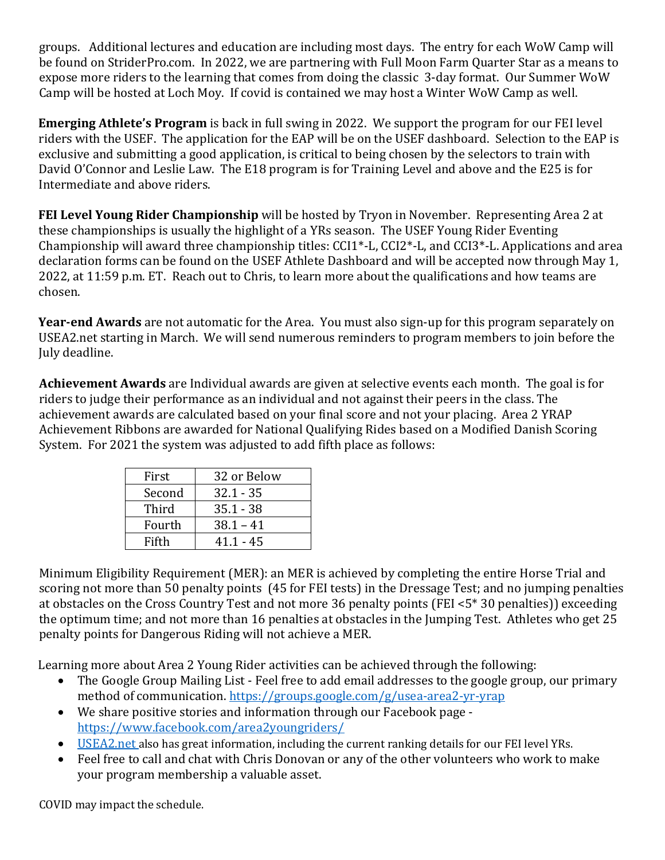groups. Additional lectures and education are including most days. The entry for each WoW Camp will be found on StriderPro.com. In 2022, we are partnering with Full Moon Farm Quarter Star as a means to expose more riders to the learning that comes from doing the classic 3-day format. Our Summer WoW Camp will be hosted at Loch Moy. If covid is contained we may host a Winter WoW Camp as well.

**Emerging Athlete's Program** is back in full swing in 2022. We support the program for our FEI level riders with the USEF. The application for the EAP will be on the USEF dashboard. Selection to the EAP is exclusive and submitting a good application, is critical to being chosen by the selectors to train with David O'Connor and Leslie Law. The E18 program is for Training Level and above and the E25 is for Intermediate and above riders.

**FEI Level Young Rider Championship** will be hosted by Tryon in November. Representing Area 2 at these championships is usually the highlight of a YRs season. The USEF Young Rider Eventing Championship will award three championship titles: CCI1\*-L, CCI2\*-L, and CCI3\*-L. Applications and area declaration forms can be found on the USEF [Athlete Dashboard](https://athletes.usef.org/) and will be accepted now through May 1, 2022, at 11:59 p.m. ET. Reach out to Chris, to learn more about the qualifications and how teams are chosen.

**Year-end Awards** are not automatic for the Area. You must also sign-up for this program separately on USEA2.net starting in March. We will send numerous reminders to program members to join before the July deadline.

**Achievement Awards** are Individual awards are given at selective events each month. The goal is for riders to judge their performance as an individual and not against their peers in the class. The achievement awards are calculated based on your final score and not your placing. Area 2 YRAP Achievement Ribbons are awarded for National Qualifying Rides based on a Modified Danish Scoring System. For 2021 the system was adjusted to add fifth place as follows:

| First  | 32 or Below |
|--------|-------------|
| Second | $32.1 - 35$ |
| Third  | $35.1 - 38$ |
| Fourth | $38.1 - 41$ |
| Fifth  | $41.1 - 45$ |

Minimum Eligibility Requirement (MER): an MER is achieved by completing the entire Horse Trial and scoring not more than 50 penalty points (45 for FEI tests) in the Dressage Test; and no jumping penalties at obstacles on the Cross Country Test and not more 36 penalty points (FEI <5\* 30 penalties)) exceeding the optimum time; and not more than 16 penalties at obstacles in the Jumping Test. Athletes who get 25 penalty points for Dangerous Riding will not achieve a MER.

Learning more about Area 2 Young Rider activities can be achieved through the following:

- The Google Group Mailing List Feel free to add email addresses to the google group, our primary method of communication. <https://groups.google.com/g/usea-area2-yr-yrap>
- We share positive stories and information through our Facebook page <https://www.facebook.com/area2youngriders/>
- USEA2.net also has great information, including the current ranking details for our FEI level YRs.
- Feel free to call and chat with Chris Donovan or any of the other volunteers who work to make your program membership a valuable asset.

COVID may impact the schedule.